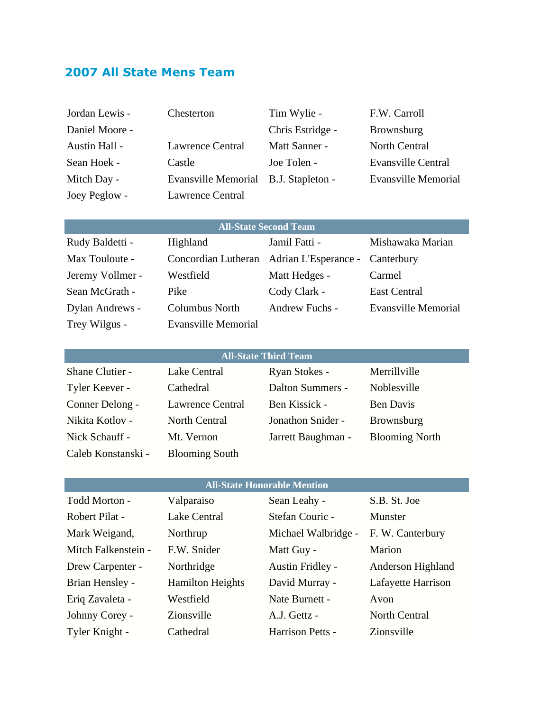# **2007 All State Mens Team**

| Jordan Lewis - | Chesterton                           | Tim Wylie -      | F.W. Carroll               |
|----------------|--------------------------------------|------------------|----------------------------|
| Daniel Moore - |                                      | Chris Estridge - | <b>Brownsburg</b>          |
| Austin Hall -  | <b>Lawrence Central</b>              | Matt Sanner -    | North Central              |
| Sean Hoek -    | Castle                               | Joe Tolen -      | <b>Evansville Central</b>  |
| Mitch Day -    | Evansville Memorial B.J. Stapleton - |                  | <b>Evansville Memorial</b> |
| Joey Peglow -  | <b>Lawrence Central</b>              |                  |                            |

| <b>All-State Second Team</b> |                            |                                                     |                     |
|------------------------------|----------------------------|-----------------------------------------------------|---------------------|
| Rudy Baldetti -              | Highland                   | Jamil Fatti -                                       | Mishawaka Marian    |
| Max Touloute -               |                            | Concordian Lutheran Adrian L'Esperance - Canterbury |                     |
| Jeremy Vollmer -             | Westfield                  | Matt Hedges -                                       | Carmel              |
| Sean McGrath -               | Pike                       | Cody Clark -                                        | <b>East Central</b> |
| Dylan Andrews -              | Columbus North             | Andrew Fuchs -                                      | Evansville Memorial |
| Trey Wilgus -                | <b>Evansville Memorial</b> |                                                     |                     |

| <b>All-State Third Team</b> |                         |                    |                       |
|-----------------------------|-------------------------|--------------------|-----------------------|
| Shane Clutier -             | Lake Central            | Ryan Stokes -      | Merrillville          |
| Tyler Keever -              | Cathedral               | Dalton Summers -   | Noblesville           |
| Conner Delong -             | <b>Lawrence Central</b> | Ben Kissick -      | <b>Ben Davis</b>      |
| Nikita Kotlov -             | <b>North Central</b>    | Jonathon Snider -  | Brownsburg            |
| Nick Schauff -              | Mt. Vernon              | Jarrett Baughman - | <b>Blooming North</b> |
| Caleb Konstanski -          | <b>Blooming South</b>   |                    |                       |

#### **All-State Honorable Mention**

| Todd Morton -       | Valparaiso              | Sean Leahy -        | S.B. St. Joe       |
|---------------------|-------------------------|---------------------|--------------------|
| Robert Pilat -      | <b>Lake Central</b>     | Stefan Couric -     | Munster            |
| Mark Weigand,       | Northrup                | Michael Walbridge - | F. W. Canterbury   |
| Mitch Falkenstein - | F.W. Snider             | Matt Guy -          | Marion             |
| Drew Carpenter -    | Northridge              | Austin Fridley -    | Anderson Highland  |
| Brian Hensley -     | <b>Hamilton Heights</b> | David Murray -      | Lafayette Harrison |
| Eriq Zavaleta -     | Westfield               | Nate Burnett -      | Avon               |
| Johnny Corey -      | Zionsville              | A.J. Gettz -        | North Central      |
| Tyler Knight -      | Cathedral               | Harrison Petts -    | Zionsville         |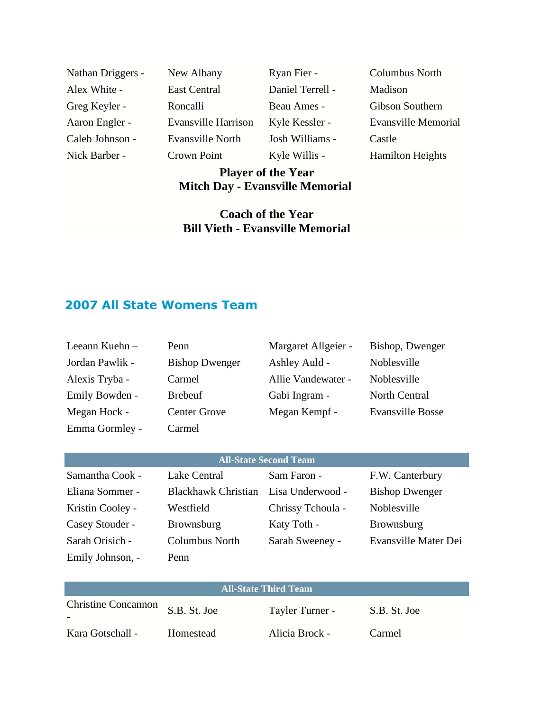Alex White - East Central Daniel Terrell - Madison Greg Keyler - Roncalli Beau Ames - Gibson Southern Caleb Johnson - Evansville North Josh Williams - Castle Nick Barber - Crown Point Kyle Willis - Hamilton Heights

Nathan Driggers - New Albany Ryan Fier - Columbus North

Aaron Engler - Evansville Harrison Kyle Kessler - Evansville Memorial

## **Player of the Year Mitch Day - Evansville Memorial**

## **Coach of the Year Bill Vieth - Evansville Memorial**

## **2007 All State Womens Team**

| Leeann Kuehn-   | Penn                  | Margaret Allgeier - | Bishop, Dwenger         |
|-----------------|-----------------------|---------------------|-------------------------|
| Jordan Pawlik - | <b>Bishop Dwenger</b> | Ashley Auld -       | Noblesville             |
| Alexis Tryba -  | Carmel                | Allie Vandewater -  | Noblesville             |
| Emily Bowden -  | <b>Brebeuf</b>        | Gabi Ingram -       | North Central           |
| Megan Hock -    | <b>Center Grove</b>   | Megan Kempf -       | <b>Evansville Bosse</b> |
| Emma Gormley -  | Carmel                |                     |                         |

| <b>All-State Second Team</b> |                                      |                   |                       |
|------------------------------|--------------------------------------|-------------------|-----------------------|
| Samantha Cook -              | Lake Central                         | Sam Faron -       | F.W. Canterbury       |
| Eliana Sommer -              | Blackhawk Christian Lisa Underwood - |                   | <b>Bishop Dwenger</b> |
| Kristin Cooley -             | Westfield                            | Chrissy Tchoula - | Noblesville           |
| Casey Stouder -              | <b>Brownsburg</b>                    | Katy Toth -       | Brownsburg            |
| Sarah Orisich -              | Columbus North                       | Sarah Sweeney -   | Evansville Mater Dei  |
| Emily Johnson, -             | Penn                                 |                   |                       |

| <b>All-State Third Team</b> |              |                 |              |
|-----------------------------|--------------|-----------------|--------------|
| <b>Christine Concannon</b>  | S.B. St. Joe | Tayler Turner - | S.B. St. Joe |
| Kara Gotschall -            | Homestead    | Alicia Brock -  | Carmel       |